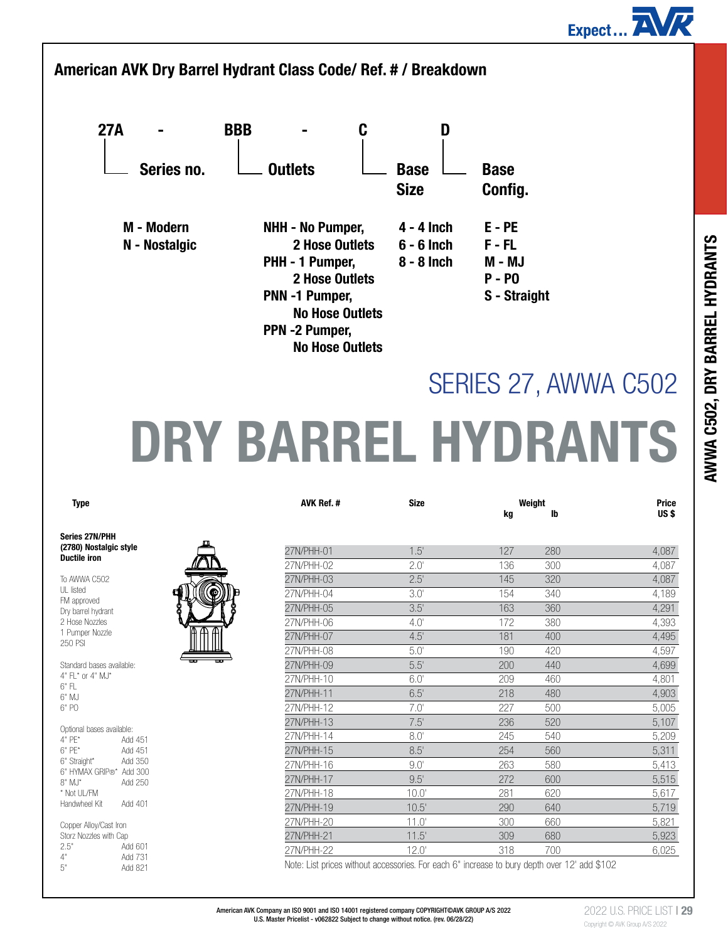



# DRY BARREL HYDRANTS

| Type                                            |   | <b>AVK Ref.#</b> | <b>Size</b>      | kg  | Weight<br>Ib | <b>Price</b><br>US\$ |
|-------------------------------------------------|---|------------------|------------------|-----|--------------|----------------------|
| ies 27N/PHH                                     |   |                  |                  |     |              |                      |
| 80) Nostalgic style                             |   | 27N/PHH-01       | 1.5'             | 127 | 280          | 4,087                |
| tile iron:                                      |   | 27N/PHH-02       | $2.0^{\circ}$    | 136 | 300          | 4,087                |
| <b>WWA C502</b>                                 |   | 27N/PHH-03       | 2.5'             | 145 | 320          | 4,087                |
| isted                                           | ۰ | 27N/PHH-04       | $3.0^\circ$      | 154 | 340          | 4,189                |
| approved<br>barrel hydrant                      |   | 27N/PHH-05       | 3.5'             | 163 | 360          | 4,291                |
| ose Nozzles                                     |   | 27N/PHH-06       | 4.0'             | 172 | 380          | 4,393                |
| umper Nozzle                                    |   | 27N/PHH-07       | 4.5'             | 181 | 400          | 4,495                |
| <b>PSI</b>                                      |   | 27N/PHH-08       | 5.0 <sup>′</sup> | 190 | 420          | 4,597                |
| dard bases available:                           |   | 27N/PHH-09       | 5.5'             | 200 | 440          | 4,699                |
| $L^*$ or $4$ " MJ*                              |   | 27N/PHH-10       | 6.0'             | 209 | 460          | 4,801                |
| ΛJ                                              |   | 27N/PHH-11       | 6.5'             | 218 | 480          | 4,903                |
| Ğ.                                              |   | 27N/PHH-12       | 7.0'             | 227 | 500          | 5,005                |
|                                                 |   | 27N/PHH-13       | 7.5'             | 236 | 520          | 5,107                |
| onal bases available:<br>Έ*<br>Add 451          |   | 27N/PHH-14       | $8.0^{\circ}$    | 245 | 540          | 5,209                |
| Έ*<br>Add 451                                   |   | 27N/PHH-15       | 8.5'             | 254 | 560          | 5,311                |
| Straight*<br>Add 350                            |   | 27N/PHH-16       | 9.0'             | 263 | 580          | 5,413                |
| <b>IYMAX GRIP®</b><br>Add 300<br>∕I'<br>Add 250 |   | 27N/PHH-17       | 9.5'             | 272 | 600          | 5,515                |
| ot UL/FM                                        |   | 27N/PHH-18       | $10.0^{\circ}$   | 281 | 620          | 5,617                |
| dwheel Kit<br>Add 401                           |   | 27N/PHH-19       | 10.5'            | 290 | 640          | 5,719                |
| per Alloy/Cast Iron                             |   | 27N/PHH-20       | 11.0'            | 300 | 660          | 5,821                |
| z Nozzles with Cap                              |   | 27N/PHH-21       | 11.5'            | 309 | 680          | 5,923                |
| Add 601                                         |   | 27N/PHH-22       | $12.0^{\circ}$   | 318 | 700          | 6,025                |
| Add 731                                         |   |                  | $\sim$ 11 $\sim$ |     | $\cdots$     |                      |

Note: List prices without accessories. For each 6" increase to bury depth over 12' add \$102

## Series 27N/PHH (2780) Nostalgic style Ductile iron

To AWWA C502 UL listed FM approved Dry barrel hydrant 2 Hose Nozzles 1 Pumper Nozzle 250 PSI

Standard bases available: 4" FL\* or 4" MJ\* 6" FL 6" MJ 6" PO

| Optional bases available: |         |  |  |  |  |
|---------------------------|---------|--|--|--|--|
| 4" PF*                    | Add 451 |  |  |  |  |
| $6"$ PF*                  | Add 451 |  |  |  |  |
| 6" Straight*              | Add 350 |  |  |  |  |
| 6" HYMAX GRIP®* Add 300   |         |  |  |  |  |
| $8"$ M.J*                 | Add 250 |  |  |  |  |
| * Not UL/FM               |         |  |  |  |  |
| Handwheel Kit             | Add 401 |  |  |  |  |
|                           |         |  |  |  |  |
|                           |         |  |  |  |  |

Copper Alloy/Cast Iron Storz Nozzles with Cap<br>2.5" Ac 2.5" Add 601<br>4" Add 731 4" Add 731<br>5" Add 821 Add 821



| American AVK Company an ISO 9001 and ISO 14001 registered company COPYRIGHT©AVK GROUP A/S 2022 |  |
|------------------------------------------------------------------------------------------------|--|
| U.S. Master Pricelist - v062822 Subject to change without notice. (rev. 06/28/22)              |  |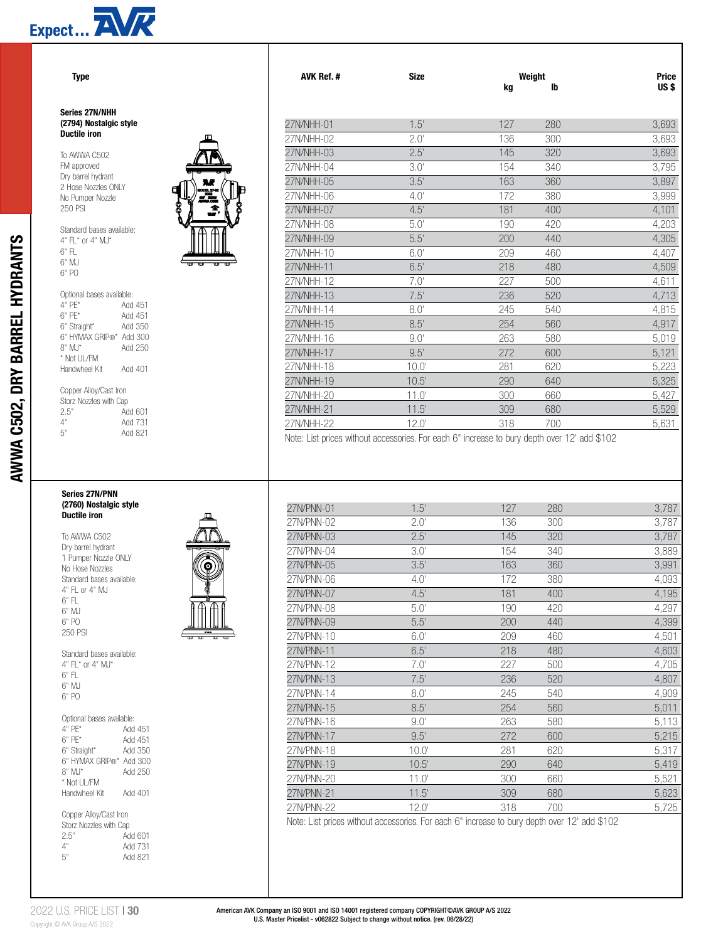

## Series 27N/NHH (2794) Nostalgic style Ductile iron

To AWWA C502 FM approved Dry barrel hydrant 2 Hose Nozzles ONLY No Pumper Nozzle 250 PSI

AWWA C502, DRY BARREL HYDRANTS

AWWA C502, DRY BARREL HYDRANTS



## Copper Alloy/Cast Iron Storz Nozzles with Cap<br>2.5" Ad 2.5" Add 601<br>4" Add 731 4" Add 731 Add 821

# Series 27N/PNN (2760) Nostalgic style Ductile iron

To AWWA C502 Dry barrel hydrant 1 Pumper Nozzle ONLY No Hose Nozzles Standard bases available: 4" FL or 4" MJ 6" FL 6" MJ 6" PO 250 PSI Standard bases available:  $4"$  FL\* or  $4"$  M.I\*



| 6" FI                     |         |  |  |  |  |
|---------------------------|---------|--|--|--|--|
| 6" M.I                    |         |  |  |  |  |
| 6" PO                     |         |  |  |  |  |
|                           |         |  |  |  |  |
|                           |         |  |  |  |  |
| Optional bases available: |         |  |  |  |  |
| 4" PF*                    | Add 451 |  |  |  |  |
| $6"$ PF*                  | Add 451 |  |  |  |  |
| 6" Straight*              | Add 350 |  |  |  |  |
| 6" HYMAX GRIP®* Add 300   |         |  |  |  |  |
| $8"$ MJ*                  | Add 250 |  |  |  |  |
| * Not UL/FM               |         |  |  |  |  |
| Handwheel Kit             | Add 401 |  |  |  |  |
|                           |         |  |  |  |  |
| Copper Alloy/Cast Iron    |         |  |  |  |  |

| <b>OUDDUIT HID WOODLED</b> |         |  |
|----------------------------|---------|--|
| Storz Nozzles with Cap     |         |  |
| 2.5"                       | Add 601 |  |
| 4"                         | Add 731 |  |
| 5"                         | Add 821 |  |
|                            |         |  |

| Type                                             |                 | <b>AVK Ref.#</b>         | <b>Size</b>                                                                                  | kg         | Weight<br>Ib | <b>Price</b><br>US <sub>\$</sub> |
|--------------------------------------------------|-----------------|--------------------------|----------------------------------------------------------------------------------------------|------------|--------------|----------------------------------|
| ies 27N/NHH<br>94) Nostalgic style<br>tile iron: |                 | 27N/NHH-01<br>27N/NHH-02 | 1.5'<br>$2.0^\circ$                                                                          | 127<br>136 | 280<br>300   | 3,693<br>3,693                   |
|                                                  |                 | 27N/NHH-03               | 2.5'                                                                                         | 145        | 320          | 3,693                            |
| WWA C502<br>approved                             |                 | 27N/NHH-04               | $3.0^\circ$                                                                                  | 154        | 340          | 3,795                            |
| barrel hydrant                                   | M               | 27N/NHH-05               | 3.5'                                                                                         | 163        | 360          | 3,897                            |
| ose Nozzles ONLY<br>Pumper Nozzle                | đ<br>ng pa<br>æ | 27N/NHH-06               | 4.0'                                                                                         | 172        | 380          | 3,999                            |
| <b>PSI</b>                                       |                 | 27N/NHH-07               | 4.5'                                                                                         | 181        | 400          | 4,101                            |
| dard bases available:                            |                 | 27N/NHH-08               | 5.0'                                                                                         | 190        | 420          | 4,203                            |
| 'L* or 4" MJ*                                    |                 | 27N/NHH-09               | 5.5'                                                                                         | 200        | 440          | 4,305                            |
| Ŧ                                                |                 | 27N/NHH-10               | 6.0'                                                                                         | 209        | 460          | 4,407                            |
| ΛJ<br>Ò.                                         |                 | 27N/NHH-11               | 6.5'                                                                                         | 218        | 480          | 4,509                            |
|                                                  |                 | 27N/NHH-12               | $7.0^{\circ}$                                                                                | 227        | 500          | 4,611                            |
| onal bases available:                            |                 | 27N/NHH-13               | 7.5'                                                                                         | 236        | 520          | 4,713                            |
| Έ*<br>Add 451<br>۴Ť<br>Add 451                   |                 | 27N/NHH-14               | $8.0^{\circ}$                                                                                | 245        | 540          | 4,815                            |
| Add 350<br>Straight*                             |                 | 27N/NHH-15               | 8.5'                                                                                         | 254        | 560          | 4,917                            |
| <b>IYMAX GRIP®*</b><br>Add 300                   |                 | 27N/NHH-16               | $9.0^{\circ}$                                                                                | 263        | 580          | 5,019                            |
| Add 250<br>∕IJ*<br>ot UL/FM                      |                 | 27N/NHH-17               | 9.5'                                                                                         | 272        | 600          | 5,121                            |
| dwheel Kit<br>Add 401                            |                 | 27N/NHH-18               | 10.0'                                                                                        | 281        | 620          | 5,223                            |
|                                                  |                 | 27N/NHH-19               | 10.5'                                                                                        | 290        | 640          | 5,325                            |
| per Alloy/Cast Iron<br>z Nozzles with Cap        |                 | 27N/NHH-20               | 11.0'                                                                                        | 300        | 660          | 5,427                            |
| Add 601                                          |                 | 27N/NHH-21               | 11.5'                                                                                        | 309        | 680          | 5,529                            |
| Add 731                                          |                 | 27N/NHH-22               | $12.0^{\circ}$                                                                               | 318        | 700          | 5,631                            |
| Add 821                                          |                 |                          | Note: Liet priege without accessories. For each 6" increase to bury donth over 12" add \$102 |            |              |                                  |

Note: List prices without accessories. For each 6" increase to bury depth over 12' add \$102

| 27N/PNN-01 | 1.5'           | 127 | 280 | 3,787 |
|------------|----------------|-----|-----|-------|
| 27N/PNN-02 | $2.0^{\circ}$  | 136 | 300 | 3,787 |
| 27N/PNN-03 | 2.5'           | 145 | 320 | 3,787 |
| 27N/PNN-04 | $3.0^\circ$    | 154 | 340 | 3,889 |
| 27N/PNN-05 | 3.5'           | 163 | 360 | 3,991 |
| 27N/PNN-06 | $4.0^\circ$    | 172 | 380 | 4,093 |
| 27N/PNN-07 | 4.5'           | 181 | 400 | 4,195 |
| 27N/PNN-08 | $5.0^\circ$    | 190 | 420 | 4,297 |
| 27N/PNN-09 | 5.5'           | 200 | 440 | 4,399 |
| 27N/PNN-10 | $6.0^{\circ}$  | 209 | 460 | 4,501 |
| 27N/PNN-11 | 6.5'           | 218 | 480 | 4,603 |
| 27N/PNN-12 | $7.0^{\circ}$  | 227 | 500 | 4,705 |
| 27N/PNN-13 | 7.5'           | 236 | 520 | 4,807 |
| 27N/PNN-14 | $8.0^{\circ}$  | 245 | 540 | 4,909 |
| 27N/PNN-15 | 8.5'           | 254 | 560 | 5,011 |
| 27N/PNN-16 | $9.0^{\circ}$  | 263 | 580 | 5,113 |
| 27N/PNN-17 | 9.5'           | 272 | 600 | 5,215 |
| 27N/PNN-18 | $10.0^{\circ}$ | 281 | 620 | 5,317 |
| 27N/PNN-19 | 10.5'          | 290 | 640 | 5,419 |
| 27N/PNN-20 | 11.0'          | 300 | 660 | 5,521 |
| 27N/PNN-21 | 11.5'          | 309 | 680 | 5,623 |
| 27N/PNN-22 | 12.0'          | 318 | 700 | 5,725 |
|            |                |     |     |       |

Note: List prices without accessories. For each 6" increase to bury depth over 12' add \$102